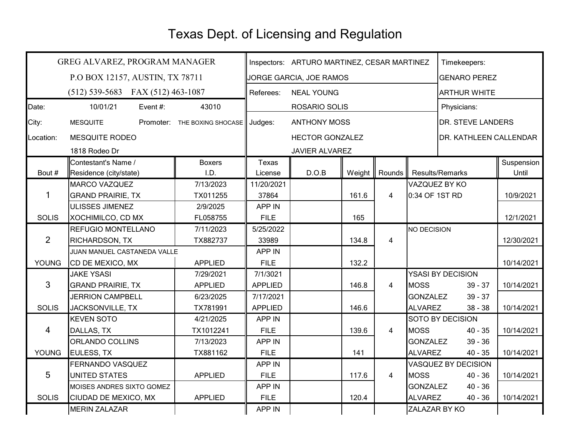## Texas Dept. of Licensing and Regulation

|                | GREG ALVAREZ, PROGRAM MANAGER       | Inspectors: ARTURO MARTINEZ, CESAR MARTINEZ |                                |                     |                       |                 | Timekeepers:                  |                          |            |
|----------------|-------------------------------------|---------------------------------------------|--------------------------------|---------------------|-----------------------|-----------------|-------------------------------|--------------------------|------------|
|                | P.O BOX 12157, AUSTIN, TX 78711     | JORGE GARCIA, JOE RAMOS                     |                                |                     |                       |                 | <b>GENARO PEREZ</b>           |                          |            |
|                | $(512)$ 539-5683 FAX (512) 463-1087 |                                             | Referees:<br><b>NEAL YOUNG</b> |                     |                       |                 | <b>ARTHUR WHITE</b>           |                          |            |
| Date:          | 10/01/21<br>Event #:                | 43010                                       |                                | ROSARIO SOLIS       |                       |                 |                               | Physicians:              |            |
| City:          | <b>MESQUITE</b>                     | Promoter: THE BOXING SHOCASE Judges:        |                                | <b>ANTHONY MOSS</b> |                       |                 |                               | <b>DR. STEVE LANDERS</b> |            |
| Location:      | <b>MESQUITE RODEO</b>               |                                             | <b>HECTOR GONZALEZ</b>         |                     |                       |                 | <b>DR. KATHLEEN CALLENDAR</b> |                          |            |
|                | 1818 Rodeo Dr                       |                                             |                                |                     | <b>JAVIER ALVAREZ</b> |                 |                               |                          |            |
|                | Contestant's Name /                 | <b>Boxers</b>                               | Texas                          |                     |                       |                 |                               |                          | Suspension |
| Bout #         | Residence (city/state)              | I.D.                                        | License                        | D.O.B               | Weight                | Rounds          |                               | Results/Remarks          | Until      |
| 1              | <b>MARCO VAZQUEZ</b>                | 7/13/2023                                   | 11/20/2021                     |                     |                       |                 |                               | VAZQUEZ BY KO            |            |
|                | <b>GRAND PRAIRIE, TX</b>            | TX011255                                    | 37864                          |                     | 161.6                 | $\overline{4}$  | 0:34 OF 1ST RD                |                          | 10/9/2021  |
|                | ULISSES JIMENEZ                     | 2/9/2025                                    | <b>APP IN</b>                  |                     |                       |                 |                               |                          |            |
| <b>SOLIS</b>   | XOCHIMILCO, CD MX                   | FL058755                                    | <b>FILE</b>                    |                     | 165                   |                 |                               |                          | 12/1/2021  |
| $\overline{2}$ | REFUGIO MONTELLANO                  | 7/11/2023                                   | 5/25/2022                      |                     |                       |                 | NO DECISION                   |                          |            |
|                | <b>RICHARDSON, TX</b>               | TX882737                                    | 33989                          |                     | 134.8                 | $\overline{4}$  |                               |                          | 12/30/2021 |
|                | JUAN MANUEL CASTANEDA VALLE         |                                             | <b>APP IN</b>                  |                     |                       |                 |                               |                          |            |
| <b>YOUNG</b>   | CD DE MEXICO, MX                    | <b>APPLIED</b>                              | <b>FILE</b>                    |                     | 132.2                 |                 |                               |                          | 10/14/2021 |
| $\mathbf{3}$   | <b>JAKE YSASI</b>                   | 7/29/2021                                   | 7/1/3021                       |                     |                       |                 |                               | YSASI BY DECISION        |            |
|                | <b>GRAND PRAIRIE, TX</b>            | <b>APPLIED</b>                              | <b>APPLIED</b>                 |                     | 146.8                 | $\overline{4}$  | <b>MOSS</b>                   | $39 - 37$                | 10/14/2021 |
|                | <b>JERRION CAMPBELL</b>             | 6/23/2025                                   | 7/17/2021                      |                     |                       | <b>GONZALEZ</b> |                               | $39 - 37$                |            |
| <b>SOLIS</b>   | JACKSONVILLE, TX                    | TX781991                                    | <b>APPLIED</b>                 |                     | 146.6                 |                 | <b>ALVAREZ</b>                | $38 - 38$                | 10/14/2021 |
| $\overline{4}$ | <b>KEVEN SOTO</b>                   | 4/21/2025                                   | <b>APP IN</b>                  |                     |                       |                 |                               | <b>SOTO BY DECISION</b>  |            |
|                | DALLAS, TX                          | TX1012241                                   | <b>FILE</b>                    |                     | 139.6                 | $\overline{4}$  | <b>MOSS</b>                   | $40 - 35$                | 10/14/2021 |
|                | ORLANDO COLLINS                     | 7/13/2023                                   | APP IN                         |                     |                       |                 | <b>GONZALEZ</b>               | $39 - 36$                |            |
| <b>YOUNG</b>   | EULESS, TX                          | TX881162                                    | <b>FILE</b>                    |                     | 141                   |                 | <b>ALVAREZ</b>                | $40 - 35$                | 10/14/2021 |
| 5              | FERNANDO VASQUEZ                    |                                             | <b>APP IN</b>                  |                     |                       |                 |                               | VASQUEZ BY DECISION      |            |
|                | <b>UNITED STATES</b>                | <b>APPLIED</b>                              | <b>FILE</b>                    |                     | 117.6                 | 4               | <b>MOSS</b>                   | $40 - 36$                | 10/14/2021 |
|                | MOISES ANDRES SIXTO GOMEZ           |                                             | APP IN                         |                     |                       |                 | <b>GONZALEZ</b>               | $40 - 36$                |            |
| <b>SOLIS</b>   | CIUDAD DE MEXICO, MX                | <b>APPLIED</b>                              | <b>FILE</b>                    |                     | 120.4                 |                 | <b>ALVAREZ</b>                | $40 - 36$                | 10/14/2021 |
|                | <b>MERIN ZALAZAR</b>                |                                             | APP IN                         |                     |                       |                 | ZALAZAR BY KO                 |                          |            |